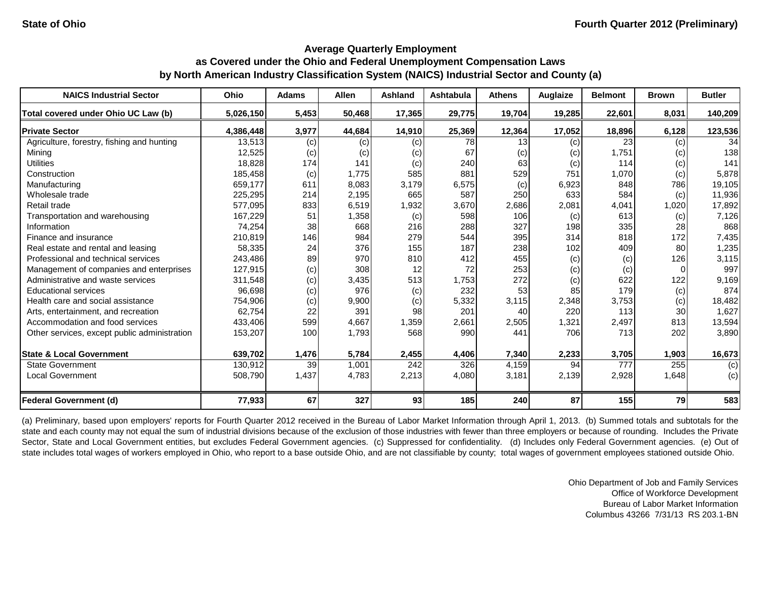| <b>NAICS Industrial Sector</b>               | Ohio      | <b>Adams</b> | <b>Allen</b> | <b>Ashland</b>   | Ashtabula | <b>Athens</b> | Auglaize | <b>Belmont</b> | <b>Brown</b> | <b>Butler</b> |
|----------------------------------------------|-----------|--------------|--------------|------------------|-----------|---------------|----------|----------------|--------------|---------------|
| Total covered under Ohio UC Law (b)          | 5,026,150 | 5,453        | 50,468       | 17,365           | 29,775    | 19,704        | 19,285   | 22,601         | 8,031        | 140,209       |
| <b>Private Sector</b>                        | 4,386,448 | 3,977        | 44,684       | 14,910           | 25,369    | 12,364        | 17,052   | 18,896         | 6,128        | 123,536       |
| Agriculture, forestry, fishing and hunting   | 13,513    | (c)          | (c)          | (c)              | 78        | 13            | (c)      | 23             | (c)          | 34            |
| Mining                                       | 12,525    | (c)          | (c)          | (c)              | 67        | (c)           | (c)      | 1,751          | (c)          | 138           |
| <b>Utilities</b>                             | 18,828    | 174          | 141          | (c)              | 240       | 63            | (c)      | 114            | (c)          | 141           |
| Construction                                 | 185,458   | (c)          | 1,775        | 585              | 881       | 529           | 751      | 1,070          | (c)          | 5,878         |
| Manufacturing                                | 659,177   | 611          | 8,083        | 3,179            | 6,575     | (c)           | 6,923    | 848            | 786          | 19,105        |
| Wholesale trade                              | 225,295   | 214          | 2,195        | 665              | 587       | 250           | 633      | 584            | (c)          | 11,936        |
| Retail trade                                 | 577,095   | 833          | 6,519        | 1,932            | 3,670     | 2,686         | 2,081    | 4,041          | 1,020        | 17,892        |
| Transportation and warehousing               | 167,229   | 51           | 1,358        | (c)              | 598       | 106           | (c)      | 613            | (c)          | 7,126         |
| Information                                  | 74,254    | 38           | 668          | 216              | 288       | 327           | 198      | 335            | 28           | 868           |
| Finance and insurance                        | 210,819   | 146          | 984          | 279              | 544       | 395           | 314      | 818            | 172          | 7,435         |
| Real estate and rental and leasing           | 58,335    | 24           | 376          | 155              | 187       | 238           | 102      | 409            | 80           | 1,235         |
| Professional and technical services          | 243,486   | 89           | 970          | 810              | 412       | 455           | (c)      | (c)            | 126          | 3,115         |
| Management of companies and enterprises      | 127,915   | (c)          | 308          | 12               | 72        | 253           | (c)      | (c)            | 0            | 997           |
| Administrative and waste services            | 311,548   | (c)          | 3,435        | 513              | 1,753     | 272           | (c)      | 622            | 122          | 9,169         |
| <b>Educational services</b>                  | 96,698    | (c)          | 976          | (c)              | 232       | 53            | 85       | 179            | (c)          | 874           |
| Health care and social assistance            | 754,906   | (c)          | 9,900        | (c)              | 5,332     | 3,115         | 2,348    | 3,753          | (c)          | 18,482        |
| Arts, entertainment, and recreation          | 62,754    | 22           | 391          | 98               | 201       | 40            | 220      | 113            | 30           | 1,627         |
| Accommodation and food services              | 433,406   | 599          | 4,667        | 1,359            | 2,661     | 2,505         | 1,321    | 2,497          | 813          | 13,594        |
| Other services, except public administration | 153,207   | 100          | 1,793        | 568              | 990       | 441           | 706      | 713            | 202          | 3,890         |
| <b>State &amp; Local Government</b>          | 639,702   | 1,476        | 5,784        | 2,455            | 4,406     | 7,340         | 2,233    | 3,705          | 1,903        | 16,673        |
| <b>State Government</b>                      | 130,912   | 39           | 1,001        | $\overline{242}$ | 326       | 4,159         | 94       | 777            | 255          | (c)           |
| <b>Local Government</b>                      | 508,790   | 1,437        | 4,783        | 2,213            | 4,080     | 3,181         | 2,139    | 2,928          | 1,648        | (c)           |
| Federal Government (d)                       | 77,933    | 67           | 327          | 93               | 185       | 240           | 87       | 155            | 79           | 583           |

(a) Preliminary, based upon employers' reports for Fourth Quarter 2012 received in the Bureau of Labor Market Information through April 1, 2013. (b) Summed totals and subtotals for the state and each county may not equal the sum of industrial divisions because of the exclusion of those industries with fewer than three employers or because of rounding. Includes the Private Sector, State and Local Government entities, but excludes Federal Government agencies. (c) Suppressed for confidentiality. (d) Includes only Federal Government agencies. (e) Out of state includes total wages of workers employed in Ohio, who report to a base outside Ohio, and are not classifiable by county; total wages of government employees stationed outside Ohio.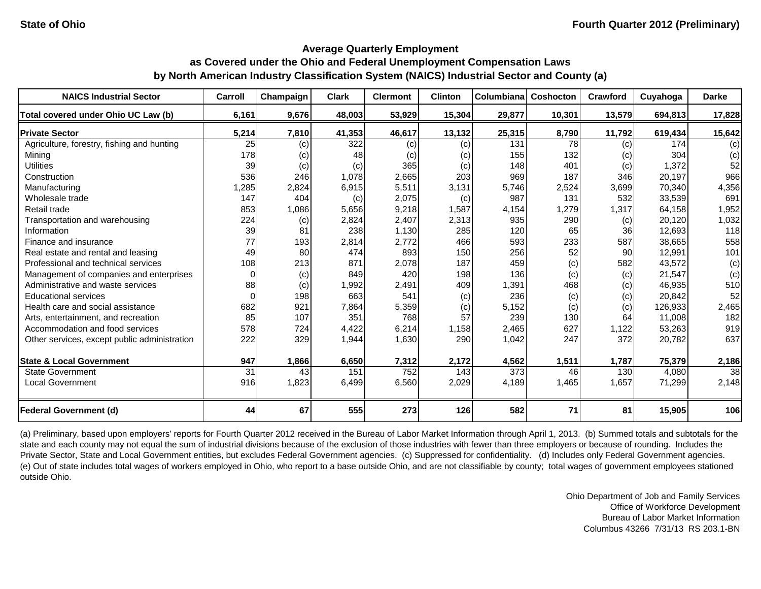| <b>NAICS Industrial Sector</b>               | Carroll  | Champaign | <b>Clark</b> | <b>Clermont</b> | <b>Clinton</b> | Columbiana | Coshocton | <b>Crawford</b> | Cuyahoga | <b>Darke</b>    |
|----------------------------------------------|----------|-----------|--------------|-----------------|----------------|------------|-----------|-----------------|----------|-----------------|
| Total covered under Ohio UC Law (b)          | 6,161    | 9,676     | 48,003       | 53,929          | 15,304         | 29,877     | 10,301    | 13,579          | 694,813  | 17,828          |
| <b>Private Sector</b>                        | 5,214    | 7,810     | 41,353       | 46,617          | 13,132         | 25,315     | 8,790     | 11,792          | 619,434  | 15,642          |
| Agriculture, forestry, fishing and hunting   | 25       | (c)       | 322          | (c)             | (c)            | 131        | 78        | (c)             | 174      | (c)             |
| Mining                                       | 178      | (c)       | 48           | (c)             | (c)            | 155        | 132       | (c)             | 304      | (c)             |
| <b>Utilities</b>                             | 39       | (c)       | (c)          | 365             | (c)            | 148        | 401       | (c)             | 1,372    | 52              |
| Construction                                 | 536      | 246       | 1,078        | 2,665           | 203            | 969        | 187       | 346             | 20,197   | 966             |
| Manufacturing                                | 1,285    | 2,824     | 6,915        | 5,511           | 3,131          | 5,746      | 2,524     | 3,699           | 70,340   | 4,356           |
| Wholesale trade                              | 147      | 404       | (c)          | 2,075           | (c)            | 987        | 131       | 532             | 33,539   | 691             |
| Retail trade                                 | 853      | 1,086     | 5,656        | 9,218           | 1,587          | 4,154      | 1,279     | 1,317           | 64,158   | 1,952           |
| Transportation and warehousing               | 224      | (c)       | 2,824        | 2,407           | 2,313          | 935        | 290       | (c)             | 20,120   | 1,032           |
| Information                                  | 39       | 81        | 238          | 1,130           | 285            | 120        | 65        | 36              | 12,693   | 118             |
| Finance and insurance                        | 77       | 193       | 2,814        | 2,772           | 466            | 593        | 233       | 587             | 38,665   | 558             |
| Real estate and rental and leasing           | 49       | 80        | 474          | 893             | 150            | 256        | 52        | 90              | 12,991   | 101             |
| Professional and technical services          | 108      | 213       | 871          | 2,078           | 187            | 459        | (c)       | 582             | 43,572   | (c)             |
| Management of companies and enterprises      | 0        | (c)       | 849          | 420             | 198            | 136        | (c)       | (c)             | 21,547   | (c)             |
| Administrative and waste services            | 88       | (c)       | 1,992        | 2,491           | 409            | 1,391      | 468       | (c)             | 46,935   | 510             |
| <b>Educational services</b>                  | $\Omega$ | 198       | 663          | 541             | (c)            | 236        | (c)       | (c)             | 20,842   | 52              |
| Health care and social assistance            | 682      | 921       | 7,864        | 5,359           | (c)            | 5,152      | (c)       | (c)             | 126,933  | 2,465           |
| Arts, entertainment, and recreation          | 85       | 107       | 351          | 768             | 57             | 239        | 130       | 64              | 11,008   | 182             |
| Accommodation and food services              | 578      | 724       | 4,422        | 6,214           | 1,158          | 2,465      | 627       | 1,122           | 53,263   | 919             |
| Other services, except public administration | 222      | 329       | 1,944        | 1,630           | 290            | 1,042      | 247       | 372             | 20,782   | 637             |
| <b>State &amp; Local Government</b>          | 947      | 1,866     | 6,650        | 7,312           | 2,172          | 4,562      | 1,511     | 1,787           | 75,379   | 2,186           |
| <b>State Government</b>                      | 31       | 43        | 151          | 752             | 143            | 373        | 46        | 130             | 4,080    | $\overline{38}$ |
| <b>Local Government</b>                      | 916      | 1,823     | 6,499        | 6,560           | 2,029          | 4,189      | 1,465     | 1,657           | 71,299   | 2,148           |
| <b>Federal Government (d)</b>                | 44       | 67        | 555          | 273             | 126            | 582        | 71        | 81              | 15,905   | 106             |

(a) Preliminary, based upon employers' reports for Fourth Quarter 2012 received in the Bureau of Labor Market Information through April 1, 2013. (b) Summed totals and subtotals for the state and each county may not equal the sum of industrial divisions because of the exclusion of those industries with fewer than three employers or because of rounding. Includes the Private Sector, State and Local Government entities, but excludes Federal Government agencies. (c) Suppressed for confidentiality. (d) Includes only Federal Government agencies. (e) Out of state includes total wages of workers employed in Ohio, who report to a base outside Ohio, and are not classifiable by county; total wages of government employees stationed outside Ohio.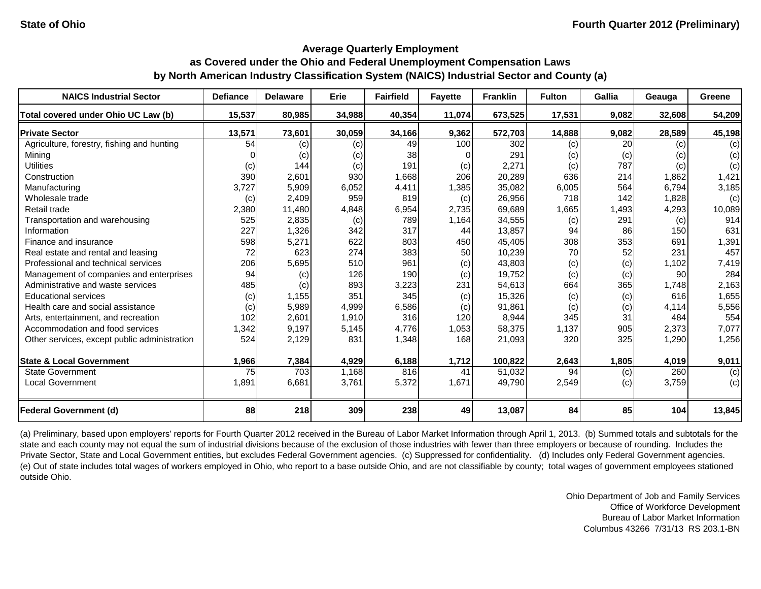| <b>NAICS Industrial Sector</b>               | <b>Defiance</b> | <b>Delaware</b> | Erie   | <b>Fairfield</b> | <b>Fayette</b> | <b>Franklin</b> | <b>Fulton</b> | <b>Gallia</b> | Geauga | Greene |
|----------------------------------------------|-----------------|-----------------|--------|------------------|----------------|-----------------|---------------|---------------|--------|--------|
| Total covered under Ohio UC Law (b)          | 15,537          | 80,985          | 34,988 | 40,354           | 11,074         | 673,525         | 17,531        | 9,082         | 32,608 | 54,209 |
| <b>Private Sector</b>                        | 13,571          | 73,601          | 30,059 | 34,166           | 9,362          | 572,703         | 14,888        | 9,082         | 28,589 | 45,198 |
| Agriculture, forestry, fishing and hunting   | 54              | (c)             | (c)    | 49               | 100            | 302             | (c)           | 20            | (c)    | (c)    |
| Mining                                       |                 | (c)             | (c)    | 38               |                | 291             | (c)           | (c)           | (c)    | (c)    |
| <b>Utilities</b>                             | (c)             | 144             | (c)    | 191              | (c)            | 2,271           | (c)           | 787           | (c)    | (c)    |
| Construction                                 | 390             | 2,601           | 930    | 1,668            | 206            | 20,289          | 636           | 214           | 1,862  | 1,421  |
| Manufacturing                                | 3,727           | 5,909           | 6,052  | 4,411            | 1,385          | 35,082          | 6,005         | 564           | 6,794  | 3,185  |
| Wholesale trade                              | (c)             | 2,409           | 959    | 819              | (c)            | 26,956          | 718           | 142           | 1,828  | (c)    |
| Retail trade                                 | 2,380           | 11,480          | 4,848  | 6,954            | 2,735          | 69,689          | 1,665         | 1,493         | 4,293  | 10,089 |
| Transportation and warehousing               | 525             | 2,835           | (c)    | 789              | 1,164          | 34,555          | (c)           | 291           | (c)    | 914    |
| Information                                  | 227             | 1,326           | 342    | 317              | 44             | 13,857          | 94            | 86            | 150    | 631    |
| Finance and insurance                        | 598             | 5,271           | 622    | 803              | 450            | 45,405          | 308           | 353           | 691    | 1,391  |
| Real estate and rental and leasing           | 72              | 623             | 274    | 383              | 50             | 10,239          | 70            | 52            | 231    | 457    |
| Professional and technical services          | 206             | 5,695           | 510    | 961              | (c)            | 43,803          | (c)           | (c)           | 1,102  | 7,419  |
| Management of companies and enterprises      | 94              | (c)             | 126    | 190              | (c)            | 19,752          | (c)           | (c)           | 90     | 284    |
| Administrative and waste services            | 485             | $\left( $       | 893    | 3,223            | 231            | 54,613          | 664           | 365           | 1,748  | 2,163  |
| <b>Educational services</b>                  | (c)             | 1,155           | 351    | 345              | (c)            | 15,326          | (c)           | (c)           | 616    | 1,655  |
| Health care and social assistance            | (c)             | 5,989           | 4,999  | 6,586            | (c)            | 91,861          | (c)           | (c)           | 4,114  | 5,556  |
| Arts, entertainment, and recreation          | 102             | 2,601           | 1,910  | 316              | 120            | 8,944           | 345           | 31            | 484    | 554    |
| Accommodation and food services              | 1,342           | 9,197           | 5,145  | 4,776            | 1,053          | 58,375          | 1,137         | 905           | 2,373  | 7,077  |
| Other services, except public administration | 524             | 2,129           | 831    | 1,348            | 168            | 21,093          | 320           | 325           | 1,290  | 1,256  |
| <b>State &amp; Local Government</b>          | 1,966           | 7,384           | 4,929  | 6,188            | 1,712          | 100,822         | 2,643         | 1,805         | 4,019  | 9,011  |
| <b>State Government</b>                      | 75              | 703             | 1,168  | 816              | 41             | 51,032          | 94            | (c)           | 260    | (c)    |
| <b>Local Government</b>                      | 1,891           | 6,681           | 3,761  | 5,372            | 1,671          | 49,790          | 2,549         | (c)           | 3,759  | (c)    |
|                                              |                 |                 |        |                  |                |                 |               |               |        |        |
| <b>Federal Government (d)</b>                | 88              | 218             | 309    | 238              | 49             | 13,087          | 84            | 85            | 104    | 13,845 |

(a) Preliminary, based upon employers' reports for Fourth Quarter 2012 received in the Bureau of Labor Market Information through April 1, 2013. (b) Summed totals and subtotals for the state and each county may not equal the sum of industrial divisions because of the exclusion of those industries with fewer than three employers or because of rounding. Includes the Private Sector, State and Local Government entities, but excludes Federal Government agencies. (c) Suppressed for confidentiality. (d) Includes only Federal Government agencies. (e) Out of state includes total wages of workers employed in Ohio, who report to a base outside Ohio, and are not classifiable by county; total wages of government employees stationed outside Ohio.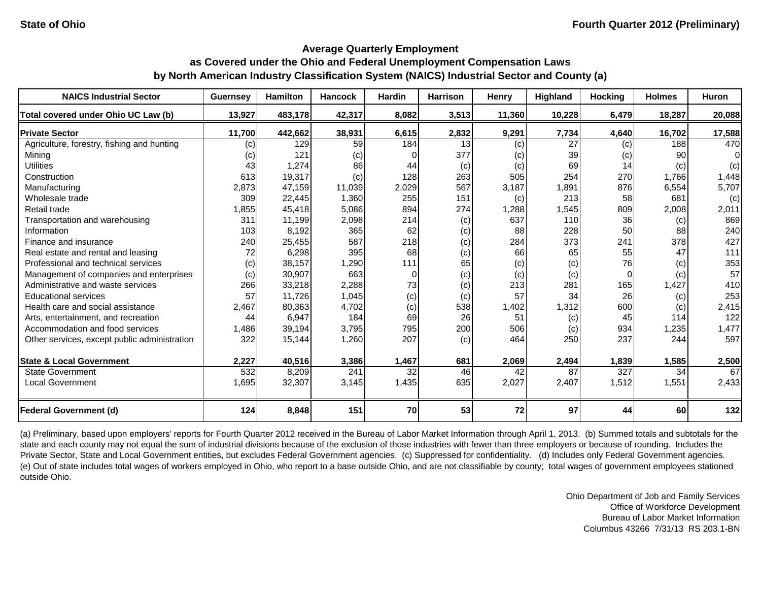| <b>NAICS Industrial Sector</b>               | <b>Guernsey</b> | <b>Hamilton</b> | <b>Hancock</b> | <b>Hardin</b> | <b>Harrison</b> | Henry  | Highland        | <b>Hocking</b> | <b>Holmes</b> | Huron  |
|----------------------------------------------|-----------------|-----------------|----------------|---------------|-----------------|--------|-----------------|----------------|---------------|--------|
| Total covered under Ohio UC Law (b)          | 13,927          | 483,178         | 42,317         | 8,082         | 3,513           | 11,360 | 10,228          | 6,479          | 18,287        | 20,088 |
| <b>Private Sector</b>                        | 11,700          | 442,662         | 38,931         | 6,615         | 2,832           | 9,291  | 7,734           | 4,640          | 16,702        | 17,588 |
| Agriculture, forestry, fishing and hunting   | (c)             | 129             | 59             | 184           | 13              | (c)    | $\overline{27}$ | (c)            | 188           | 470    |
| Mining                                       | (c)             | 121             | (c)            |               | 377             | (c)    | 39              | (c)            | 90            | 0      |
| <b>Utilities</b>                             | 43              | 1,274           | 86             | 44            | (c)             | (c)    | 69              | 14             | (c)           | (c)    |
| Construction                                 | 613             | 19,317          | (c)            | 128           | 263             | 505    | 254             | 270            | 1,766         | 1,448  |
| Manufacturing                                | 2,873           | 47,159          | 11,039         | 2,029         | 567             | 3,187  | 1,891           | 876            | 6,554         | 5,707  |
| Wholesale trade                              | 309             | 22,445          | 1,360          | 255           | 151             | (c)    | 213             | 58             | 681           | (c)    |
| Retail trade                                 | 1,855           | 45,418          | 5,086          | 894           | 274             | 1,288  | 1,545           | 809            | 2,008         | 2,011  |
| Transportation and warehousing               | 311             | 11,199          | 2,098          | 214           | (c)             | 637    | 110             | 36             | (c)           | 869    |
| Information                                  | 103             | 8,192           | 365            | 62            | (c)             | 88     | 228             | 50             | 88            | 240    |
| Finance and insurance                        | 240             | 25,455          | 587            | 218           | (c)             | 284    | 373             | 241            | 378           | 427    |
| Real estate and rental and leasing           | 72              | 6,298           | 395            | 68            | (c)             | 66     | 65              | 55             | 47            | 111    |
| Professional and technical services          | (c)             | 38,157          | 1,290          | 111           | 65              | (c)    | (c)             | 76             | (c)           | 353    |
| Management of companies and enterprises      | (c)             | 30,907          | 663            | $\Omega$      | (c)             | (c)    | (c)             | $\Omega$       | (c)           | 57     |
| Administrative and waste services            | 266             | 33,218          | 2,288          | 73            | (c)             | 213    | 281             | 165            | 1,427         | 410    |
| <b>Educational services</b>                  | 57              | 11,726          | 1,045          | (c)           | (c)             | 57     | 34              | 26             | (c)           | 253    |
| Health care and social assistance            | 2,467           | 80,363          | 4,702          | (c)           | 538             | 1,402  | 1,312           | 600            | (c)           | 2,415  |
| Arts, entertainment, and recreation          | 44              | 6,947           | 184            | 69            | 26              | 51     | (c)             | 45             | 114           | 122    |
| Accommodation and food services              | 1,486           | 39,194          | 3,795          | 795           | 200             | 506    | (c)             | 934            | 1,235         | 1,477  |
| Other services, except public administration | 322             | 15,144          | 1,260          | 207           | (c)             | 464    | 250             | 237            | 244           | 597    |
| <b>State &amp; Local Government</b>          | 2,227           | 40,516          | 3,386          | 1,467         | 681             | 2,069  | 2,494           | 1,839          | 1,585         | 2,500  |
| <b>State Government</b>                      | 532             | 8,209           | 241            | 32            | 46              | 42     | 87              | 327            | 34            | 67     |
| <b>Local Government</b>                      | 1,695           | 32,307          | 3,145          | 1,435         | 635             | 2,027  | 2,407           | 1,512          | 1,551         | 2,433  |
| <b>Federal Government (d)</b>                | 124             | 8,848           | 151            | 70            | 53              | 72     | 97              | 44             | 60            | 132    |

(a) Preliminary, based upon employers' reports for Fourth Quarter 2012 received in the Bureau of Labor Market Information through April 1, 2013. (b) Summed totals and subtotals for the state and each county may not equal the sum of industrial divisions because of the exclusion of those industries with fewer than three employers or because of rounding. Includes the Private Sector, State and Local Government entities, but excludes Federal Government agencies. (c) Suppressed for confidentiality. (d) Includes only Federal Government agencies. (e) Out of state includes total wages of workers employed in Ohio, who report to a base outside Ohio, and are not classifiable by county; total wages of government employees stationed outside Ohio.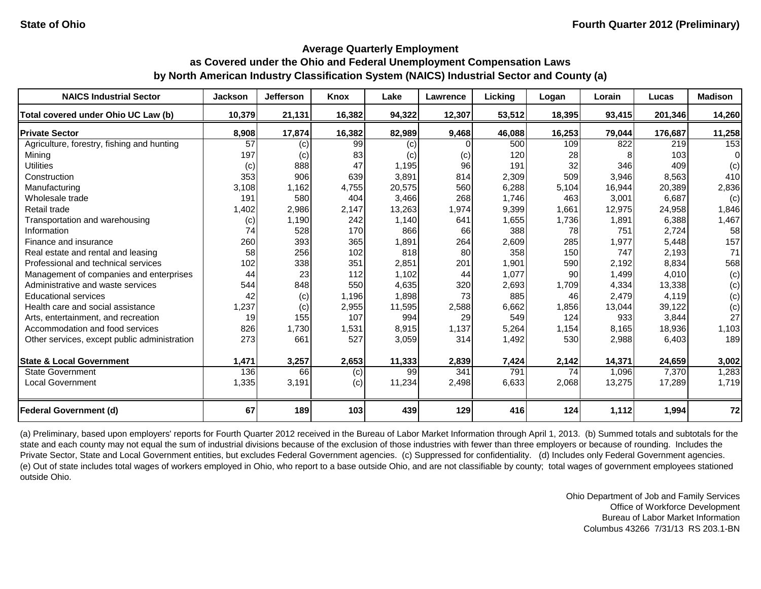| <b>NAICS Industrial Sector</b>               | <b>Jackson</b>  | <b>Jefferson</b> | Knox   | Lake   | Lawrence | Licking | Logan  | Lorain | Lucas   | <b>Madison</b> |
|----------------------------------------------|-----------------|------------------|--------|--------|----------|---------|--------|--------|---------|----------------|
| Total covered under Ohio UC Law (b)          | 10,379          | 21,131           | 16,382 | 94,322 | 12,307   | 53,512  | 18,395 | 93,415 | 201.346 | 14,260         |
| <b>Private Sector</b>                        | 8,908           | 17,874           | 16,382 | 82,989 | 9,468    | 46,088  | 16,253 | 79,044 | 176,687 | 11,258         |
| Agriculture, forestry, fishing and hunting   | $\overline{57}$ | (c)              | 99     | (c)    | 0        | 500     | 109    | 822    | 219     | 153            |
| Minina                                       | 197             | (c)              | 83     | (c)    | (c)      | 120     | 28     |        | 103     | 0              |
| <b>Utilities</b>                             | (c)             | 888              | 47     | 1,195  | 96       | 191     | 32     | 346    | 409     | (c)            |
| Construction                                 | 353             | 906              | 639    | 3,891  | 814      | 2,309   | 509    | 3,946  | 8,563   | 410            |
| Manufacturing                                | 3,108           | 1,162            | 4,755  | 20,575 | 560      | 6,288   | 5,104  | 16,944 | 20,389  | 2,836          |
| Wholesale trade                              | 191             | 580              | 404    | 3,466  | 268      | 1,746   | 463    | 3,001  | 6.687   | (c)            |
| Retail trade                                 | 1,402           | 2,986            | 2,147  | 13,263 | 1,974    | 9,399   | 1,661  | 12,975 | 24,958  | 1,846          |
| Transportation and warehousing               | (c)             | 1,190            | 242    | 1,140  | 641      | 1,655   | 1,736  | 1,891  | 6,388   | 1,467          |
| Information                                  | 74              | 528              | 170    | 866    | 66       | 388     | 78     | 751    | 2,724   | 58             |
| Finance and insurance                        | 260             | 393              | 365    | 1,891  | 264      | 2,609   | 285    | 1,977  | 5,448   | 157            |
| Real estate and rental and leasing           | 58              | 256              | 102    | 818    | 80       | 358     | 150    | 747    | 2,193   | 71             |
| Professional and technical services          | 102             | 338              | 351    | 2,851  | 201      | 1,901   | 590    | 2,192  | 8,834   | 568            |
| Management of companies and enterprises      | 44              | 23               | 112    | 1,102  | 44       | 1,077   | 90     | 1,499  | 4,010   | (c)            |
| Administrative and waste services            | 544             | 848              | 550    | 4,635  | 320      | 2,693   | 1,709  | 4,334  | 13,338  | (c)            |
| <b>Educational services</b>                  | 42              | (c)              | 1,196  | 1,898  | 73       | 885     | 46     | 2,479  | 4,119   | (c)            |
| Health care and social assistance            | 1,237           | (c)              | 2,955  | 11,595 | 2,588    | 6,662   | 1,856  | 13,044 | 39,122  | (c)            |
| Arts, entertainment, and recreation          | 19              | 155              | 107    | 994    | 29       | 549     | 124    | 933    | 3,844   | 27             |
| Accommodation and food services              | 826             | 1,730            | 1,531  | 8,915  | 1,137    | 5,264   | 1,154  | 8,165  | 18,936  | 1,103          |
| Other services, except public administration | 273             | 661              | 527    | 3,059  | 314      | 1,492   | 530    | 2,988  | 6,403   | 189            |
| <b>State &amp; Local Government</b>          | 1,471           | 3,257            | 2,653  | 11,333 | 2,839    | 7,424   | 2,142  | 14,371 | 24,659  | 3,002          |
| <b>State Government</b>                      | 136             | 66               | (c)    | 99     | 341      | 791     | 74     | 1,096  | 7,370   | 1,283          |
| <b>Local Government</b>                      | 1,335           | 3,191            | (c)    | 11,234 | 2,498    | 6,633   | 2,068  | 13,275 | 17,289  | 1,719          |
| <b>Federal Government (d)</b>                | 67              | 189              | 103    | 439    | 129      | 416     | 124    | 1,112  | 1,994   | 72             |

(a) Preliminary, based upon employers' reports for Fourth Quarter 2012 received in the Bureau of Labor Market Information through April 1, 2013. (b) Summed totals and subtotals for the state and each county may not equal the sum of industrial divisions because of the exclusion of those industries with fewer than three employers or because of rounding. Includes the Private Sector, State and Local Government entities, but excludes Federal Government agencies. (c) Suppressed for confidentiality. (d) Includes only Federal Government agencies. (e) Out of state includes total wages of workers employed in Ohio, who report to a base outside Ohio, and are not classifiable by county; total wages of government employees stationed outside Ohio.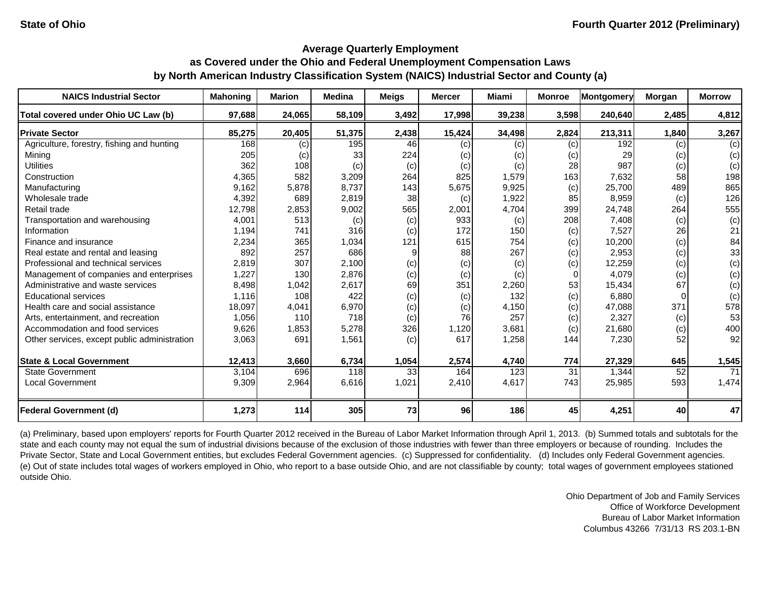| <b>NAICS Industrial Sector</b>               | <b>Mahoning</b> | <b>Marion</b> | <b>Medina</b> | <b>Meigs</b> | <b>Mercer</b> | Miami  | <b>Monroe</b> | Montgomery | Morgan | <b>Morrow</b> |
|----------------------------------------------|-----------------|---------------|---------------|--------------|---------------|--------|---------------|------------|--------|---------------|
| Total covered under Ohio UC Law (b)          | 97,688          | 24,065        | 58,109        | 3,492        | 17,998        | 39,238 | 3,598         | 240,640    | 2,485  | 4,812         |
| <b>Private Sector</b>                        | 85,275          | 20,405        | 51,375        | 2,438        | 15,424        | 34,498 | 2,824         | 213,311    | 1,840  | 3,267         |
| Agriculture, forestry, fishing and hunting   | 168             | (c)           | 195           | 46           | (c)           | (c)    | (c)           | 192        | (c)    | (c)           |
| Mining                                       | 205             | (c)           | 33            | 224          | (c)           | (c)    | (c)           | 29         | (c)    | (c)           |
| <b>Utilities</b>                             | 362             | 108           | (c)           | (c)          | (c)           | (c)    | 28            | 987        | (c)    | (c)           |
| Construction                                 | 4,365           | 582           | 3,209         | 264          | 825           | 1,579  | 163           | 7,632      | 58     | 198           |
| Manufacturing                                | 9,162           | 5,878         | 8,737         | 143          | 5,675         | 9,925  | (c)           | 25,700     | 489    | 865           |
| Wholesale trade                              | 4,392           | 689           | 2,819         | 38           | (c)           | 1,922  | 85            | 8,959      | (c)    | 126           |
| Retail trade                                 | 12,798          | 2,853         | 9,002         | 565          | 2,001         | 4,704  | 399           | 24,748     | 264    | 555           |
| Transportation and warehousing               | 4,001           | 513           | (c)           | (c)          | 933           | (c)    | 208           | 7,408      | (c)    | (c)           |
| Information                                  | 1,194           | 741           | 316           | (c)          | 172           | 150    | (c)           | 7,527      | 26     | 21            |
| Finance and insurance                        | 2,234           | 365           | 1,034         | 121          | 615           | 754    | (c)           | 10,200     | (c)    | 84            |
| Real estate and rental and leasing           | 892             | 257           | 686           | 9            | 88            | 267    | (c)           | 2,953      | (c)    | 33            |
| Professional and technical services          | 2,819           | 307           | 2,100         | (c)          | (c)           | (c)    | (c)           | 12,259     | (c)    | (c)           |
| Management of companies and enterprises      | 1,227           | 130           | 2,876         | (c)          | (c)           | (c)    | $\Omega$      | 4,079      | (c)    | (c)           |
| Administrative and waste services            | 8,498           | 1,042         | 2,617         | 69           | 351           | 2,260  | 53            | 15,434     | 67     | (c)           |
| <b>Educational services</b>                  | 1,116           | 108           | 422           | (c)          | (c)           | 132    | (c)           | 6,880      |        | (c)           |
| Health care and social assistance            | 18,097          | 4,041         | 6,970         | (c)          | (c)           | 4,150  | (c)           | 47,088     | 371    | 578           |
| Arts, entertainment, and recreation          | 1,056           | 110           | 718           | (c)          | 76            | 257    | (c)           | 2,327      | (c)    | 53            |
| Accommodation and food services              | 9,626           | 1,853         | 5,278         | 326          | 1,120         | 3,681  | (c)           | 21,680     | (c)    | 400           |
| Other services, except public administration | 3,063           | 691           | 1,561         | (c)          | 617           | 1,258  | 144           | 7,230      | 52     | 92            |
| <b>State &amp; Local Government</b>          | 12,413          | 3,660         | 6,734         | 1,054        | 2,574         | 4,740  | 774           | 27,329     | 645    | 1,545         |
| <b>State Government</b>                      | 3,104           | 696           | 118           | 33           | 164           | 123    | 31            | 1,344      | 52     | 71            |
| <b>Local Government</b>                      | 9,309           | 2,964         | 6,616         | 1,021        | 2,410         | 4,617  | 743           | 25,985     | 593    | 1,474         |
| <b>Federal Government (d)</b>                | 1,273           | 114           | 305           | 73           | 96            | 186    | 45            | 4,251      | 40     | 47            |

(a) Preliminary, based upon employers' reports for Fourth Quarter 2012 received in the Bureau of Labor Market Information through April 1, 2013. (b) Summed totals and subtotals for the state and each county may not equal the sum of industrial divisions because of the exclusion of those industries with fewer than three employers or because of rounding. Includes the Private Sector, State and Local Government entities, but excludes Federal Government agencies. (c) Suppressed for confidentiality. (d) Includes only Federal Government agencies. (e) Out of state includes total wages of workers employed in Ohio, who report to a base outside Ohio, and are not classifiable by county; total wages of government employees stationed outside Ohio.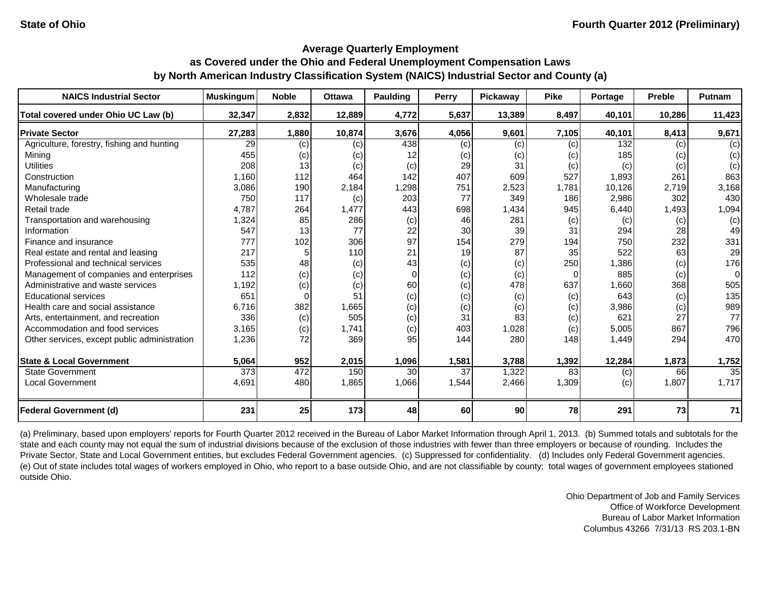| <b>NAICS Industrial Sector</b>               | <b>Muskingum</b> | <b>Noble</b> | <b>Ottawa</b> | <b>Paulding</b> | Perry | Pickaway | <b>Pike</b> | Portage | <b>Preble</b> | Putnam          |
|----------------------------------------------|------------------|--------------|---------------|-----------------|-------|----------|-------------|---------|---------------|-----------------|
| Total covered under Ohio UC Law (b)          | 32,347           | 2,832        | 12,889        | 4,772           | 5,637 | 13,389   | 8,497       | 40,101  | 10,286        | 11,423          |
| <b>Private Sector</b>                        | 27,283           | 1,880        | 10,874        | 3,676           | 4,056 | 9,601    | 7,105       | 40,101  | 8,413         | 9,671           |
| Agriculture, forestry, fishing and hunting   | 29               | (c)          | (c)           | 438             | (c)   | (c)      | (c)         | 132     | (c)           | (c)             |
| Mining                                       | 455              | (c)          | (c)           | 12              | (c)   | (c)      | (c)         | 185     | (c)           | (c)             |
| <b>Utilities</b>                             | 208              | 13           | (c)           | (c)             | 29    | 31       | (c)         | (c)     | (c)           | (c)             |
| Construction                                 | 1,160            | 112          | 464           | 142             | 407   | 609      | 527         | 1,893   | 261           | 863             |
| Manufacturing                                | 3,086            | 190          | 2,184         | 1,298           | 751   | 2,523    | 1,781       | 10,126  | 2,719         | 3,168           |
| Wholesale trade                              | 750              | 117          | (c)           | 203             | 77    | 349      | 186         | 2,986   | 302           | 430             |
| Retail trade                                 | 4,787            | 264          | 1,477         | 443             | 698   | 1,434    | 945         | 6,440   | 1,493         | 1,094           |
| Transportation and warehousing               | 1,324            | 85           | 286           | (c)             | 46    | 281      | (c)         | (c)     | (c)           | (c)             |
| Information                                  | 547              | 13           | 77            | 22              | 30    | 39       | 31          | 294     | 28            | 49              |
| Finance and insurance                        | 777              | 102          | 306           | 97              | 154   | 279      | 194         | 750     | 232           | 331             |
| Real estate and rental and leasing           | 217              |              | 110           | 21              | 19    | 87       | 35          | 522     | 63            | 29              |
| Professional and technical services          | 535              | 48           | (c)           | 43              | (c)   | (c)      | 250         | 1,386   | (c)           | 176             |
| Management of companies and enterprises      | 112              | (c)          | (c)           | $\Omega$        | (c)   | (c)      | $\Omega$    | 885     | (c)           | $\Omega$        |
| Administrative and waste services            | 1,192            | (c)          | (c)           | 60              | (c)   | 478      | 637         | 1,660   | 368           | 505             |
| <b>Educational services</b>                  | 651              | $\Omega$     | 51            | (c)             | (c)   | (c)      | (c)         | 643     | (c)           | 135             |
| Health care and social assistance            | 6.716            | 382          | 1,665         | (c)             | (c)   | (c)      | (c)         | 3,986   | (c)           | 989             |
| Arts, entertainment, and recreation          | 336              | (c)          | 505           | (c)             | 31    | 83       | (c)         | 621     | 27            | 77              |
| Accommodation and food services              | 3,165            | (c)          | 1,741         | (c)             | 403   | 1,028    | (c)         | 5,005   | 867           | 796             |
| Other services, except public administration | 1,236            | 72           | 369           | 95              | 144   | 280      | 148         | 1,449   | 294           | 470             |
| <b>State &amp; Local Government</b>          | 5,064            | 952          | 2,015         | 1,096           | 1,581 | 3,788    | 1,392       | 12,284  | 1,873         | 1,752           |
| <b>State Government</b>                      | $\overline{373}$ | 472          | 150           | 30              | 37    | 1,322    | 83          | (c)     | 66            | $\overline{35}$ |
| <b>Local Government</b>                      | 4,691            | 480          | 1,865         | 1,066           | 1,544 | 2,466    | 1,309       | (c)     | 1,807         | 1,717           |
| <b>Federal Government (d)</b>                | 231              | 25           | 173           | 48              | 60    | 90       | 78          | 291     | 73            | 71              |

(a) Preliminary, based upon employers' reports for Fourth Quarter 2012 received in the Bureau of Labor Market Information through April 1, 2013. (b) Summed totals and subtotals for the state and each county may not equal the sum of industrial divisions because of the exclusion of those industries with fewer than three employers or because of rounding. Includes the Private Sector, State and Local Government entities, but excludes Federal Government agencies. (c) Suppressed for confidentiality. (d) Includes only Federal Government agencies. (e) Out of state includes total wages of workers employed in Ohio, who report to a base outside Ohio, and are not classifiable by county; total wages of government employees stationed outside Ohio.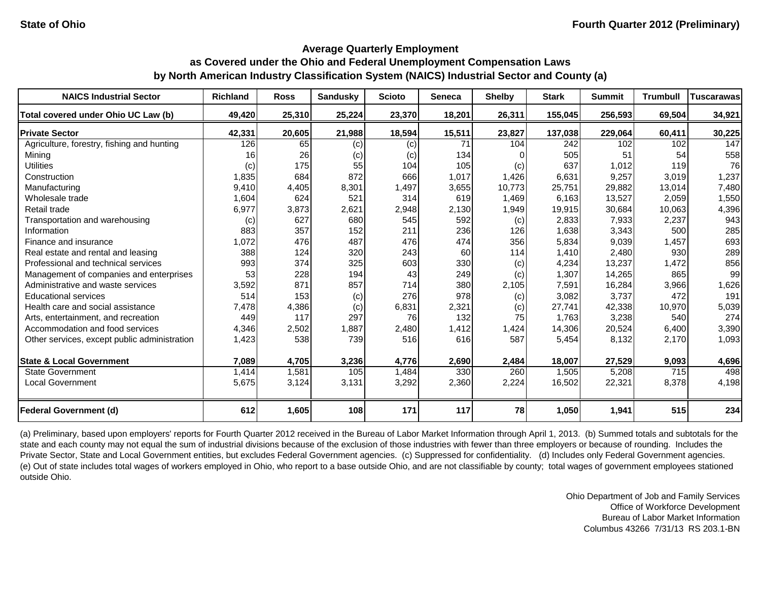| <b>NAICS Industrial Sector</b>               | <b>Richland</b> | <b>Ross</b> | <b>Sandusky</b> | <b>Scioto</b> | <b>Seneca</b> | <b>Shelby</b> | <b>Stark</b> | <b>Summit</b> | <b>Trumbull</b> | <b>Tuscarawas</b> |
|----------------------------------------------|-----------------|-------------|-----------------|---------------|---------------|---------------|--------------|---------------|-----------------|-------------------|
| Total covered under Ohio UC Law (b)          | 49,420          | 25,310      | 25.224          | 23,370        | 18,201        | 26,311        | 155,045      | 256,593       | 69.504          | 34,921            |
| <b>Private Sector</b>                        | 42,331          | 20,605      | 21,988          | 18,594        | 15,511        | 23,827        | 137,038      | 229,064       | 60,411          | 30,225            |
| Agriculture, forestry, fishing and hunting   | 126             | 65          | (c)             | (c)           | 71            | 104           | 242          | 102           | 102             | 147               |
| Mining                                       | 16              | 26          | (c)             | (c)           | 134           | <sup>0</sup>  | 505          | 51            | 54              | 558               |
| <b>Utilities</b>                             | (c)             | 175         | 55              | 104           | 105           | (c)           | 637          | 1,012         | 119             | 76                |
| Construction                                 | 1,835           | 684         | 872             | 666           | 1,017         | 1,426         | 6,631        | 9,257         | 3,019           | 1,237             |
| Manufacturing                                | 9,410           | 4,405       | 8,301           | 1,497         | 3,655         | 10,773        | 25,751       | 29,882        | 13,014          | 7,480             |
| Wholesale trade                              | 1,604           | 624         | 521             | 314           | 619           | 1,469         | 6,163        | 13,527        | 2,059           | 1,550             |
| Retail trade                                 | 6,977           | 3,873       | 2,621           | 2,948         | 2,130         | 1,949         | 19,915       | 30,684        | 10,063          | 4,396             |
| Transportation and warehousing               | (c)             | 627         | 680             | 545           | 592           | (c)           | 2,833        | 7,933         | 2,237           | 943               |
| Information                                  | 883             | 357         | 152             | 211           | 236           | 126           | 1,638        | 3,343         | 500             | 285               |
| Finance and insurance                        | 1,072           | 476         | 487             | 476           | 474           | 356           | 5,834        | 9,039         | 1,457           | 693               |
| Real estate and rental and leasing           | 388             | 124         | 320             | 243           | 60            | 114           | 1,410        | 2,480         | 930             | 289               |
| Professional and technical services          | 993             | 374         | 325             | 603           | 330           | (c)           | 4,234        | 13,237        | 1,472           | 856               |
| Management of companies and enterprises      | 53              | 228         | 194             | 43            | 249           | (c)           | 1,307        | 14,265        | 865             | 99                |
| Administrative and waste services            | 3,592           | 871         | 857             | 714           | 380           | 2,105         | 7,591        | 16,284        | 3,966           | 1,626             |
| <b>Educational services</b>                  | 514             | 153         | (c)             | 276           | 978           | (c)           | 3,082        | 3,737         | 472             | 191               |
| Health care and social assistance            | 7,478           | 4,386       | (c)             | 6,831         | 2,321         | (c)           | 27,741       | 42,338        | 10,970          | 5,039             |
| Arts, entertainment, and recreation          | 449             | 117         | 297             | 76            | 132           | 75            | 1.763        | 3,238         | 540             | 274               |
| Accommodation and food services              | 4,346           | 2,502       | 1,887           | 2,480         | 1,412         | 1,424         | 14,306       | 20,524        | 6,400           | 3,390             |
| Other services, except public administration | 1,423           | 538         | 739             | 516           | 616           | 587           | 5,454        | 8,132         | 2,170           | 1,093             |
| <b>State &amp; Local Government</b>          | 7,089           | 4,705       | 3,236           | 4,776         | 2,690         | 2,484         | 18,007       | 27,529        | 9,093           | 4,696             |
| <b>State Government</b>                      | 1,414           | 1,581       | 105             | 1,484         | 330           | 260           | 1,505        | 5,208         | 715             | 498               |
| <b>Local Government</b>                      | 5,675           | 3,124       | 3,131           | 3,292         | 2,360         | 2,224         | 16,502       | 22,321        | 8,378           | 4,198             |
| <b>Federal Government (d)</b>                | 612             | 1,605       | 108             | 171           | 117           | 78            | 1,050        | 1,941         | 515             | 234               |

(a) Preliminary, based upon employers' reports for Fourth Quarter 2012 received in the Bureau of Labor Market Information through April 1, 2013. (b) Summed totals and subtotals for the state and each county may not equal the sum of industrial divisions because of the exclusion of those industries with fewer than three employers or because of rounding. Includes the Private Sector, State and Local Government entities, but excludes Federal Government agencies. (c) Suppressed for confidentiality. (d) Includes only Federal Government agencies. (e) Out of state includes total wages of workers employed in Ohio, who report to a base outside Ohio, and are not classifiable by county; total wages of government employees stationed outside Ohio.